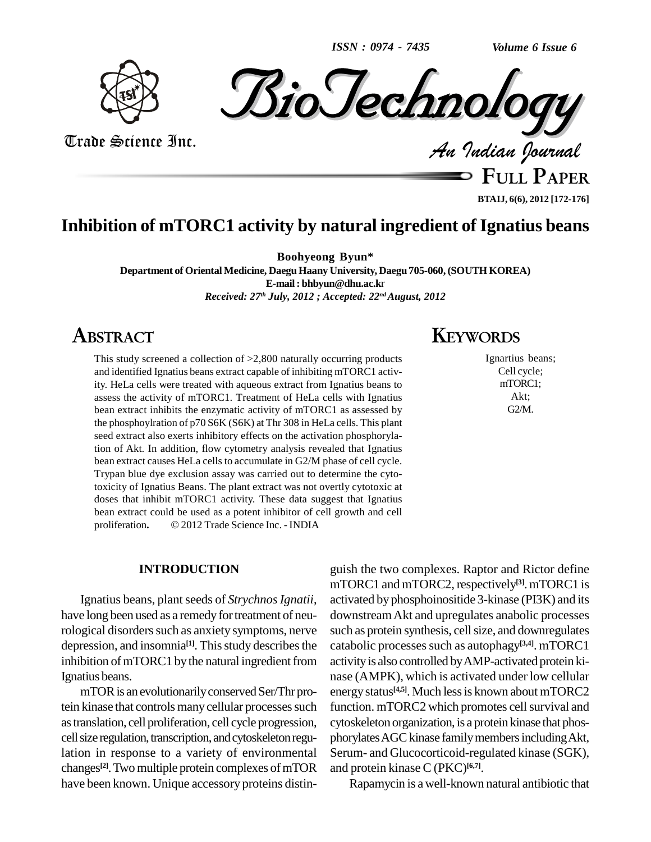*ISSN : 0974 - 7435*

*Volume 6 Issue 6*



*BioJechnology* 

Trade Science Inc. Trade Science Inc.

**FULL PAPER**

**BTAIJ, 6(6), 2012 [172-176]**

## **Inhibition of mTORC1 activity by natural ingredient of Ignatius beans**

**Boohyeong Byun\***

**Department of OrientalMedicine, DaeguHaany University, Daegu 705-060,(SOUTH KOREA) E-mail: [bhbyun@dhu.ac.k](mailto:bhbyun@dhu.ac.kr)**r *Received: 27 th July, 2012 ; Accepted: 22 ndAugust, 2012*

# **ABSTRACT**

This study screened a collection of >2,800 naturally occurring products and identified Ignatius beans extract capable of inhibiting mTORC1 activity. HeLa cells were treated with aqueous extract from Ignatius beans to assess the activity of mTORC1. Treatment of HeLa cells with Ignatius bean extract inhibits the enzymatic activity of mTORC1 as assessed by the phosphoylration of p70 S6K (S6K) at Thr 308 in HeLa cells. This plant seed extract also exerts inhibitory effects on the activation phosphorylation of Akt. In addition, flow cytometry analysis revealed that Ignatius bean extract causes HeLa cells to accumulate in G2/M phase of cell cycle. Trypan blue dye exclusion assay was carried out to determine the cytotoxicity of Ignatius Beans. The plant extract was not overtly cytotoxic at doses that inhibit mTORC1 activity. These data suggest that Ignatius<br>bean extract could be used as a potent inhibitor of cell growth and cell<br>proliferation. © 2012 Trade Science Inc. - INDIA bean extract could be used as a potent inhibitor of cell growth and cell

#### **INTRODUCTION**

Ignatius beans, plant seeds of *Strychnos Ignatii*, have long been used as a remedy for treatment of neurological disorders such as anxiety symptoms, nerve depression, and insomnia<sup>[1]</sup>. This study describes the catabourhed Ignatius beans.

mTOR is an evolutionarily conserved Ser/Thr protein kinase that controls many cellular processes such astranslation, cell proliferation, cell cycle progression, cell size regulation, transcription, and cytoskeleton regulation in response to a variety of environmental changes<sup>[2]</sup>. Two multiple protein complexes of mTOR and protein have been known. Unique accessory proteins distin-

# **KEYWORDS**

Ignartius beans; Cell cycle; mTORC1; Akt; G2/M.

inhibition of mTORC1 by the natural ingredient from activity is also controlled by AMP-activated protein kiguish the two complexes. Raptor and Rictor define mTORC1 and mTORC2, respectively **[3]**.mTORC1 is activated by phosphoinositide 3-kinase (PI3K) and its downstreamAkt and upregulates anabolic processes such as protein synthesis, cell size, and downregulates catabolic processes such as autophagy<sup>[3,4]</sup>. mTORC1 nase (AMPK), which is activated under low cellular energy status **[4,5]**. Much lessis known about mTORC2 function. mTORC2 which promotes cell survival and cytoskeleton organization, is a protein kinase that phosphorylates AGC kinase family members including Akt, Serum- and Glucocorticoid-regulated kinase (SGK), and protein kinase C (PKC) **[6,7]**.

Rapamycin is a well-known natural antibiotic that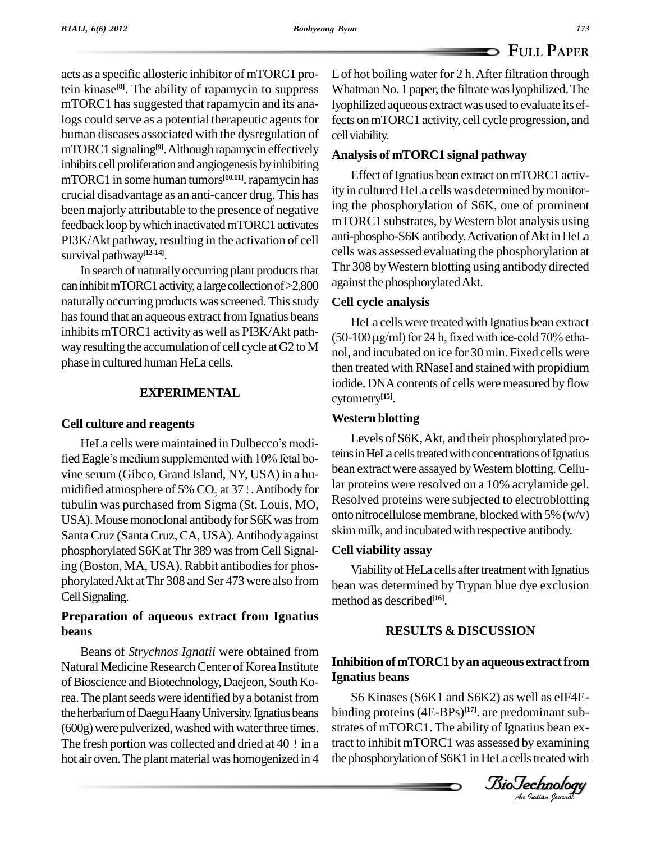acts as a specific allosteric inhibitor of mTORC1 protein kinase<sup>[8]</sup>. The ability of rapamycin to suppress Wha mTORC1 has suggested that rapamycin and its analogs could serve as a potential therapeutic agents for human diseases associated with the dysregulation of mTORC1 signaling<sup>[9]</sup>. Although rapamycin effectively  $\Lambda_{\text{mally}}$ inhibits cell proliferation and angiogenesis by inhibiting mTORC1 in some human tumors<sup>[10.11]</sup>. rapamycin has crucial disadvantage as an anti-cancer drug. This has been majorly attributable to the presence of negative feedback loop by which inactivated mTORC1 activates PI3K/Akt pathway, resulting in the activation of cell survival pathway **[12-14]**.

In search of naturally occurring plant products that can inhibit mTORC1 activity, a large collection of >2,800 naturally occurring products was screened. This study has found that an aqueous extract from Ignatius beans inhibits mTORC1 activity as well as PI3K/Akt path way resulting the accumulation of cell cycle at G2 to M phase in cultured human HeLa cells.

#### **EXPERIMENTAL**

#### **Cell culture and reagents**

HeLa cells were maintained in Dulbecco's modified Eagle's medium supplemented with 10% fetal bovine serum (Gibco, Grand Island, NY, USA) in a hu midified atmosphere of 5%  $CO$ , at 37!. Antibody for tubulin was purchased from Sigma (St. Louis, MO, USA). Mouse monoclonal antibody for S6K was from SantaCruz (SantaCruz,CA, USA).Antibodyagainst phosphorylated S6K at Thr 389 was from Cell Signaling (Boston, MA, USA). Rabbit antibodies for phosphorylatedAkt atThr 308 and Ser 473 were also from CellSignaling.

### **Preparation of aqueous extract from Ignatius beans**

Beans of *Strychnos Ignatii* were obtained from Natural Medicine Research Center of Korea Institute of Bioscience and Biotechnology, Daejeon, South Korea. The plant seeds were identified by a botanist from the herbarium of Daegu Haany University. Ignatius beans (600g) were pulverized, washed with water three times. The fresh portion was collected and dried at  $40$  ! in a hot air oven. The plant material was homogenized in 4 Lof hot boiling water for 2 h.After filtration through Whatman No. 1 paper, the filtrate was lyophilized. The lyophilized aqueous extractwas used to evaluate its effects onmTORC1 activity, cell cycle progression, and cell viability.

#### **Analysis of mTORC1 signal pathway**

Effect of Ignatius bean extract on mTORC1 activity in cultured HeLa cells was determined bymonitoring the phosphorylation of S6K, one of prominent mTORC1 substrates, byWestern blot analysis using anti-phospho-S6K antibody. Activation of Akt in HeLa cells was assessed evaluating the phosphorylation at Thr 308 byWestern blotting using antibody directed against the phosphorylatedAkt.

#### **Cell cycle analysis**

HeLa cells were treated with Ignatius bean extract  $(50-100 \,\mu\text{g/ml})$  for 24 h, fixed with ice-cold 70% ethanol, and incubated on ice for 30 min. Fixed cells were then treated with RNaseI and stained with propidium iodide. DNA contents of cells were measured by flow cytometry **[15]**.

#### **Western blotting**

Levels of S6K,Akt, and their phosphorylated proteins in HeLa cells treated with concentrations of Ignatius bean extract were assayed by Western blotting. Cellular proteins were resolved on a 10% acrylamide gel. Resolved proteins were subjected to electroblotting onto nitrocellulose membrane, blocked with  $5\%$  (w/v) skim milk, and incubated with respective antibody.

#### **Cell viability assay**

Viability of HeLa cells after treatment with Ignatius bean was determined by Trypan blue dye exclusion method as described **[16]**.

#### **RESULTS & DISCUSSION**

## BioTechnologyBioTechnology**Inhibition ofmTORC1 by an aqueous extractfrom Ignatius beans**

binding proteins (4E-BPs)<sup>[17]</sup>. are predominant sub-S6 Kinases (S6K1 and S6K2) as well as eIF4E strates of mTORC1. The ability of Ignatius bean extract to inhibit mTORC1 was assessed by examining the phosphorylation of S6K1 in HeLa cells treated with

*Indian Journal*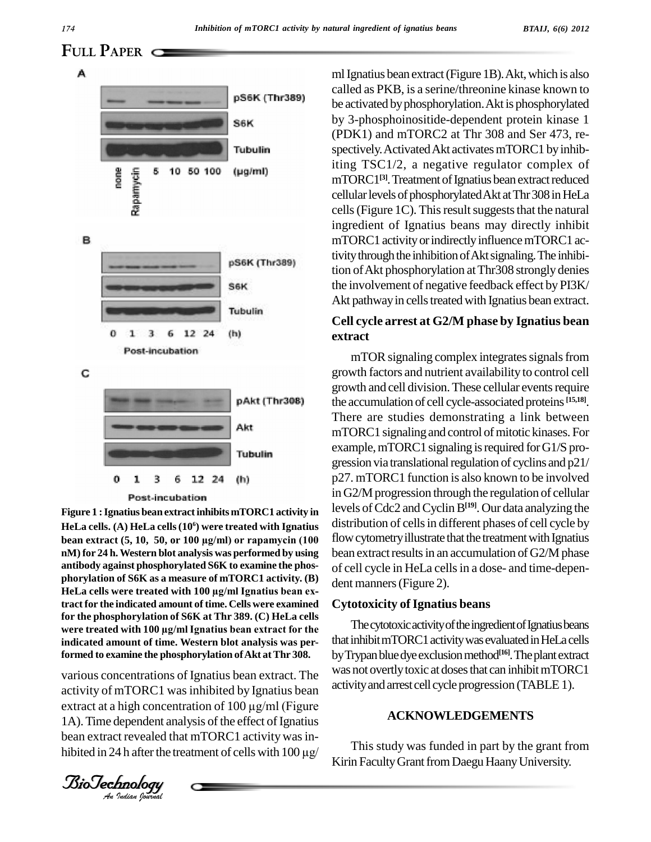**FULL PAPER**



#### **Post-incubation**

**Figure 1 :Ignatius bean extractinhibits mTORC1 activity in HeLa cells. (A) HeLa cells(10 <sup>6</sup>) were treated with Ignatius bean extract (5, 10, 50, or <sup>100</sup> µg/ml) or rapamycin (100 nM) for 24 h.Western blot analysis was performed by using antibody against phosphorylated S6K to examine the phos phorylation of S6K as a measure of mTORC1 activity. (B)** antibody against phosphorylated S6K to examine the phos-<br>phorylation of S6K as a measure of mTORC1 activity. (B)<br>HeLa cells were treated with 100 µg/ml Ignatius bean ex**tract for the indicated amount of time. Cells were examined for the phosphorylation of S6K at Thr 389. (C) HeLa cells were treated with <sup>100</sup> µg/mlIgnatius bean extract for the indicated amount of time. Western blot analysis was performed to examine the phosphorylation ofAkt atThr 308.**

Formed to examine the phosphorylation of Akt at Thr 308. By Try<br>various concentrations of Ignatius bean extract. The *Anexa* various concentrations of Ignatius bean extract. The activity of mTORC1 was inhibited by Ignatius bean activit extract at a high concentration of 100 μg/ml (Figure activity of mTORC1 wasinhibited by Ignatius bean 1A). Time dependent analysis of the effect of Ignatius bean extract revealed that mTORC1 activity was inhibited in 24 h after the treatment of cells with  $100 \mu g$ /

*BioTechnology*<br>*An Indian Journal* 

ml Ignatius bean extract (Figure 1B). Akt, which is also called as PKB, is a serine/threonine kinase known to be activated by phosphorylation. Akt is phosphorylated by 3-phosphoinositide-dependent protein kinase 1 (PDK1) and mTORC2 at Thr 308 and Ser 473, re spectively. Activated Akt activates mTORC1 by inhibiting TSC1/2, a negative regulator complex of mTORC1<sup>[3]</sup>. Treatment of Ignatius bean extract reduced cellular levels of phosphorylated Akt at Thr 308 in HeLa cells (Figure 1C). This result suggests that the natural ingredient of Ignatius beans may directly inhibit mTORC1 activity or indirectly influence mTORC1 activity through the inhibition of Akt signaling. The inhibition ofAkt phosphorylation atThr308 strongly denies the involvement of negative feedback effect by PI3K/ Akt pathway in cells treated with Ignatius bean extract.

## **Cell cycle arrest at G2/M phase by Ignatius bean extract**

mTOR signaling complex integrates signals from growth factors and nutrient availability to control cell growth and cell division. These cellular events require the accumulation of cell cycle-associated proteins **[15,18]**. There are studies demonstrating a link between mTORC1 signaling and control of mitotic kinases. For example, mTORC1 signaling is required for G1/S progression via translational regulation of cyclins and  $p21/$ p27. mTORC1 function is also known to be involved in G2/M progression through the regulation of cellular levels of Cdc2 and Cyclin B<sup>[19]</sup>. Our data analyzing the distribution of cells in different phases of cell cycle by flow cytometry illustrate that the treatment with Ignatius bean extract results in an accumulation of G2/M phase of cell cycle in HeLa cellsin a dose- and time-depen dent manners (Figure 2).

#### **Cytotoxicity of Ignatius beans**

The cytotoxic activity of the ingredient of Ignatius beans that inhibit mTORC1 activity was evaluated in HeLa cells byTrypanbluedyeexclusionmethod **[16]**.Theplantextract was not overtly toxic at doses that can inhibit mTORC1 activityandarrest cell cycleprogression (TABLE1).

#### **ACKNOWLEDGEMENTS**

This study was funded in part by the grant from Kirin Faculty Grant from Daegu Haany University.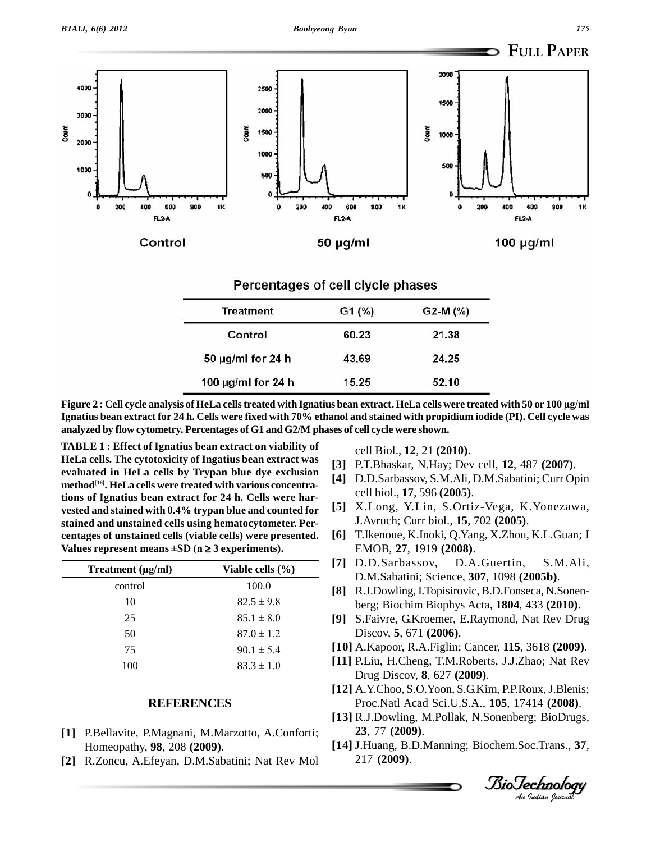

100 pg/ml for 24 h 15.25 52.10<br>Figure 2 : Cell cycle analysis of HeLa cells treated with Ignatius bean extract. HeLa cells were treated with 50 or 100 µg/ml Ignatius bean extract for 24 h. Cells were fixed with 70% ethanol and stained with propidium iodide (PI). Cell cycle was **analyzed by flow cytometry. Percentages of G1 and G2/M phases of cell cycle were shown.**

**Values represent means**  $\pm SD$  **(** $n \geq 3$  **experiments). TABLE 1 : Effect of Ignatius bean extract on viability of HeLa cells. The cytotoxicity of Ingatius bean extract was evaluated in HeLa cells by Trypan blue dye exclusion method [16]. HeLa cells were treated with various concentrations of Ignatius bean extract for 24 h. Cells were har vested and stained with 0.4% trypan blue and counted for stained and unstained cells using hematocytometer. Per- Values represent means ±SD (n <sup>3</sup> experiments). centages of unstained cells (viable cells) were presented.**

| Treatment (µg/ml) | Viable cells $(\% )$ |
|-------------------|----------------------|
| control           | 100.0                |
| 10                | $82.5 \pm 9.8$       |
| 25                | $85.1 \pm 8.0$       |
| 50                | $87.0 \pm 1.2$       |
| 75                | $90.1 \pm 5.4$       |
| 100               | $83.3 \pm 1.0$       |

#### **REFERENCES**

- **[1]** P.Bellavite, P.Magnani, M.Marzotto, A.Conforti; Homeopathy, **98**, 208 **(2009)**.
- **[2]** R.Zoncu, A.Efeyan, D.M.Sabatini; Nat Rev Mol

cell Biol., **12**, 21 **(2010)**.

- **[3]** P.T.Bhaskar, N.Hay; Dev cell, **12**, 487 **(2007)**.
- **[4]** D.D.Sarbassov, S.M.Ali, D.M.Sabatini; Curr Opin cell biol., **17**, 596 **(2005)**.
- **[5]** X.Long, Y.Lin, S.Ortiz-Vega, K.Yonezawa, J.Avruch; Curr biol., **15**, 702 **(2005)**.
- **[6]** T.Ikenoue, K.Inoki, Q.Yang, X.Zhou, K.L.Guan; J EMOB, **27**, 1919 **(2008)**.
- **[7]** D.D.Sarbassov, D.A.Guertin, S.M.Ali, D.M.Sabatini; Science, **307**, 1098 **(2005b)**.
- **[8]** R.J.Dowling, I.Topisirovic, B.D.Fonseca, N.Sonen berg; Biochim Biophys Acta, **1804**, 433 **(2010)**.
- **[9]** S.Faivre, G.Kroemer, E.Raymond, Nat Rev Drug Discov, **5**, 671 **(2006)**.
- **[10]** A.Kapoor, R.A.Figlin; Cancer, **115**, 3618 **(2009)**.
- [11] P.Liu, H.Cheng, T.M.Roberts, J.J.Zhao; Nat Rev<br>Drug Discov 8, 627 (2009) Drug Discov, **8**, 627 **(2009)**.
- *An*Proc.Natl Acad Sci.U.S.A., **105**, 17414 **(2008)**. **[12]** A.Y.Choo, S.O.Yoon, S.G.Kim, P.P.Roux,J.Blenis;
- **[13]** R.J.Dowling, M.Pollak, N.Sonenberg; BioDrugs, **23**, 77 **(2009)**.
- **[14]** J.Huang, B.D.Manning; Biochem.Soc.Trans., **37**, 217 **(2009)**.

*Indian Journal*